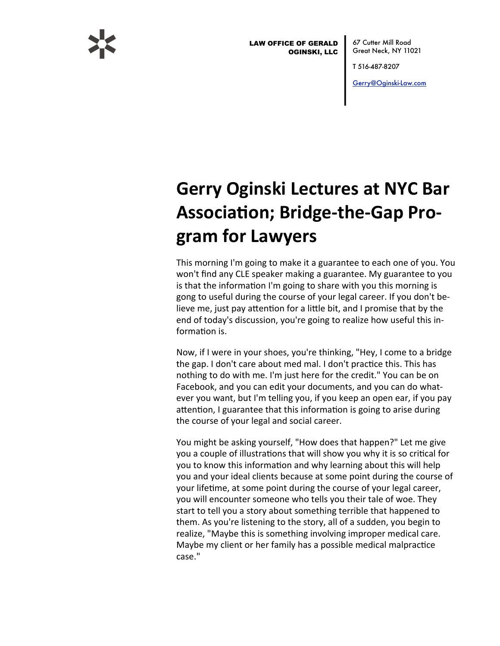

**LAW OFFICE OF GERALD OGINSKI, LLC** 

67 Cutter Mill Road Great Neck, NY 11021

T 516-487-8207

Gerry@Oginski-Law.com

## **Gerry Oginski Lectures at NYC Bar Association; Bridge-the-Gap Pro**gram for Lawyers

This morning I'm going to make it a guarantee to each one of you. You won't find any CLE speaker making a guarantee. My guarantee to you is that the information I'm going to share with you this morning is gong to useful during the course of your legal career. If you don't believe me, just pay attention for a little bit, and I promise that by the end of today's discussion, you're going to realize how useful this information is.

Now, if I were in your shoes, you're thinking, "Hey, I come to a bridge the gap. I don't care about med mal. I don't practice this. This has nothing to do with me. I'm just here for the credit." You can be on Facebook, and you can edit your documents, and you can do whatever you want, but I'm telling you, if you keep an open ear, if you pay attention, I guarantee that this information is going to arise during the course of your legal and social career.

You might be asking yourself, "How does that happen?" Let me give you a couple of illustrations that will show you why it is so critical for you to know this information and why learning about this will help you and your ideal clients because at some point during the course of your lifetime, at some point during the course of your legal career, you will encounter someone who tells you their tale of woe. They start to tell you a story about something terrible that happened to them. As you're listening to the story, all of a sudden, you begin to realize, "Maybe this is something involving improper medical care. Maybe my client or her family has a possible medical malpractice case."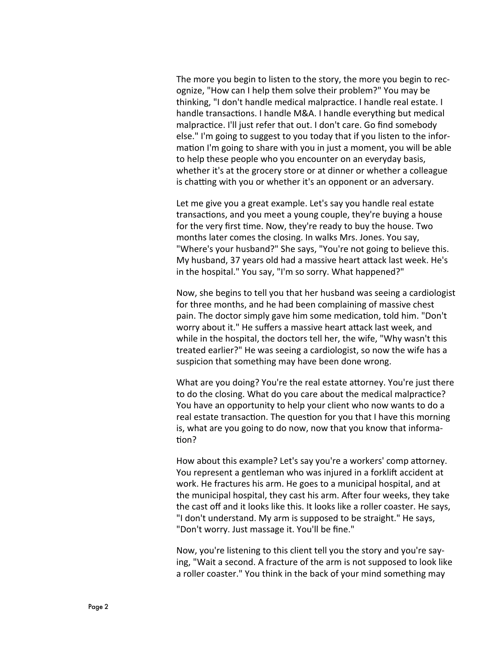The more you begin to listen to the story, the more you begin to recognize, "How can I help them solve their problem?" You may be thinking, "I don't handle medical malpractice. I handle real estate. I handle transactions. I handle M&A. I handle everything but medical malpractice. I'll just refer that out. I don't care. Go find somebody else." I'm going to suggest to you today that if you listen to the information I'm going to share with you in just a moment, you will be able to help these people who you encounter on an everyday basis, whether it's at the grocery store or at dinner or whether a colleague is chatting with you or whether it's an opponent or an adversary.

Let me give you a great example. Let's say you handle real estate transactions, and you meet a young couple, they're buying a house for the very first time. Now, they're ready to buy the house. Two months later comes the closing. In walks Mrs. Jones. You say, "Where's your husband?" She says, "You're not going to believe this. My husband, 37 years old had a massive heart attack last week. He's in the hospital." You say, "I'm so sorry. What happened?"

Now, she begins to tell you that her husband was seeing a cardiologist for three months, and he had been complaining of massive chest pain. The doctor simply gave him some medication, told him. "Don't worry about it." He suffers a massive heart attack last week, and while in the hospital, the doctors tell her, the wife, "Why wasn't this treated earlier?" He was seeing a cardiologist, so now the wife has a suspicion that something may have been done wrong.

What are you doing? You're the real estate attorney. You're just there to do the closing. What do you care about the medical malpractice? You have an opportunity to help your client who now wants to do a real estate transaction. The question for you that I have this morning is, what are you going to do now, now that you know that information?

How about this example? Let's say you're a workers' comp attorney. You represent a gentleman who was injured in a forklift accident at work. He fractures his arm. He goes to a municipal hospital, and at the municipal hospital, they cast his arm. After four weeks, they take the cast off and it looks like this. It looks like a roller coaster. He says, "I don't understand. My arm is supposed to be straight." He says, "Don't worry. Just massage it. You'll be fine."

Now, you're listening to this client tell you the story and you're saying, "Wait a second. A fracture of the arm is not supposed to look like a roller coaster." You think in the back of your mind something may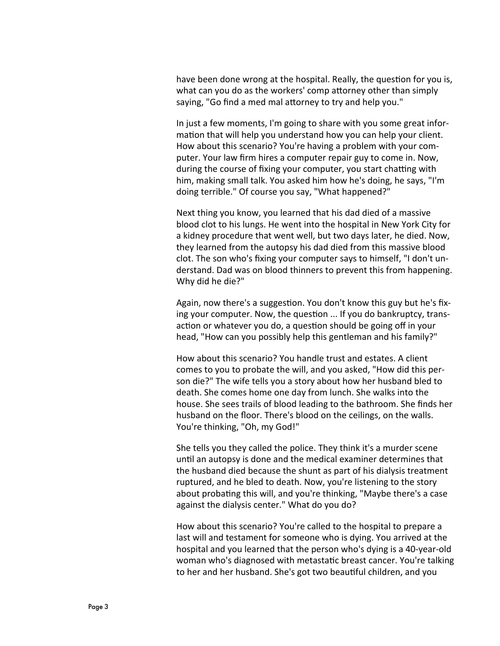have been done wrong at the hospital. Really, the question for you is, what can you do as the workers' comp attorney other than simply saying, "Go find a med mal attorney to try and help you."

In just a few moments, I'm going to share with you some great information that will help you understand how you can help your client. How about this scenario? You're having a problem with your computer. Your law firm hires a computer repair guy to come in. Now, during the course of fixing your computer, you start chatting with him, making small talk. You asked him how he's doing, he says, "I'm doing terrible." Of course you say, "What happened?"

Next thing you know, you learned that his dad died of a massive blood clot to his lungs. He went into the hospital in New York City for a kidney procedure that went well, but two days later, he died. Now, they learned from the autopsy his dad died from this massive blood clot. The son who's fixing your computer says to himself, "I don't understand. Dad was on blood thinners to prevent this from happening. Why did he die?"

Again, now there's a suggestion. You don't know this guy but he's fixing your computer. Now, the question ... If you do bankruptcy, transaction or whatever you do, a question should be going off in your head, "How can you possibly help this gentleman and his family?"

How about this scenario? You handle trust and estates. A client comes to you to probate the will, and you asked, "How did this person die?" The wife tells you a story about how her husband bled to death. She comes home one day from lunch. She walks into the house. She sees trails of blood leading to the bathroom. She finds her husband on the floor. There's blood on the ceilings, on the walls. You're thinking, "Oh, my God!"

She tells you they called the police. They think it's a murder scene until an autopsy is done and the medical examiner determines that the husband died because the shunt as part of his dialysis treatment ruptured, and he bled to death. Now, you're listening to the story about probating this will, and you're thinking, "Maybe there's a case against the dialysis center." What do you do?

How about this scenario? You're called to the hospital to prepare a last will and testament for someone who is dying. You arrived at the hospital and you learned that the person who's dying is a 40-year-old woman who's diagnosed with metastatic breast cancer. You're talking to her and her husband. She's got two beautiful children, and you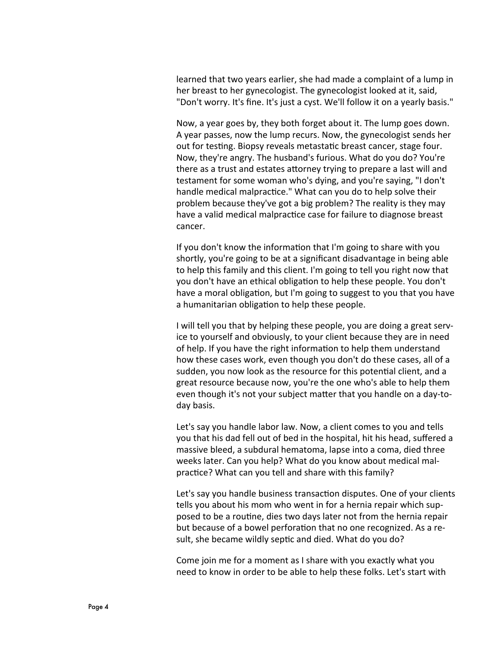learned that two years earlier, she had made a complaint of a lump in her breast to her gynecologist. The gynecologist looked at it, said, "Don't worry. It's fine. It's just a cyst. We'll follow it on a yearly basis."

Now, a year goes by, they both forget about it. The lump goes down. A year passes, now the lump recurs. Now, the gynecologist sends her out for testing. Biopsy reveals metastatic breast cancer, stage four. Now, they're angry. The husband's furious. What do you do? You're there as a trust and estates attorney trying to prepare a last will and testament for some woman who's dying, and you're saying, "I don't handle medical malpractice." What can you do to help solve their problem because they've got a big problem? The reality is they may have a valid medical malpractice case for failure to diagnose breast cancer.

If you don't know the information that I'm going to share with you shortly, you're going to be at a significant disadvantage in being able to help this family and this client. I'm going to tell you right now that you don't have an ethical obligation to help these people. You don't have a moral obligation, but I'm going to suggest to you that you have a humanitarian obligation to help these people.

I will tell you that by helping these people, you are doing a great service to yourself and obviously, to your client because they are in need of help. If you have the right information to help them understand how these cases work, even though you don't do these cases, all of a sudden, you now look as the resource for this potential client, and a great resource because now, you're the one who's able to help them even though it's not your subject matter that you handle on a day-today basis.

Let's say you handle labor law. Now, a client comes to you and tells you that his dad fell out of bed in the hospital, hit his head, suffered a massive bleed, a subdural hematoma, lapse into a coma, died three weeks later. Can you help? What do you know about medical malpractice? What can you tell and share with this family?

Let's say you handle business transaction disputes. One of your clients tells you about his mom who went in for a hernia repair which supposed to be a routine, dies two days later not from the hernia repair but because of a bowel perforation that no one recognized. As a result, she became wildly septic and died. What do you do?

Come join me for a moment as I share with you exactly what you need to know in order to be able to help these folks. Let's start with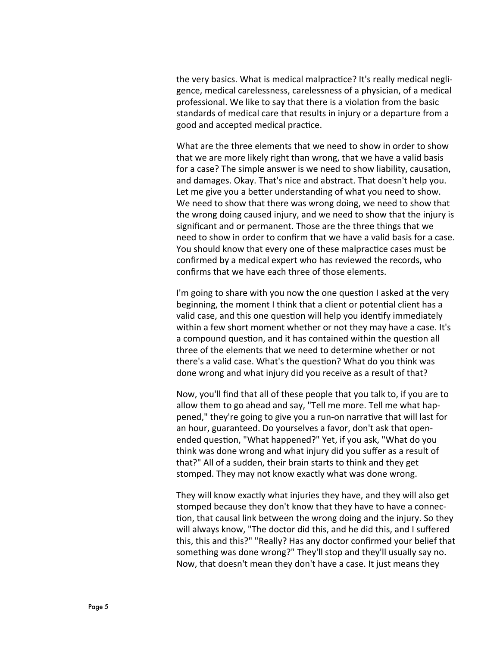the very basics. What is medical malpractice? It's really medical negligence, medical carelessness, carelessness of a physician, of a medical professional. We like to say that there is a violation from the basic standards of medical care that results in injury or a departure from a good and accepted medical practice.

What are the three elements that we need to show in order to show that we are more likely right than wrong, that we have a valid basis for a case? The simple answer is we need to show liability, causation, and damages. Okay. That's nice and abstract. That doesn't help you. Let me give you a better understanding of what you need to show. We need to show that there was wrong doing, we need to show that the wrong doing caused injury, and we need to show that the injury is significant and or permanent. Those are the three things that we need to show in order to confirm that we have a valid basis for a case. You should know that every one of these malpractice cases must be confirmed by a medical expert who has reviewed the records, who confirms that we have each three of those elements.

I'm going to share with you now the one question I asked at the very beginning, the moment I think that a client or potential client has a valid case, and this one question will help you identify immediately within a few short moment whether or not they may have a case. It's a compound question, and it has contained within the question all three of the elements that we need to determine whether or not there's a valid case. What's the question? What do you think was done wrong and what injury did you receive as a result of that?

Now, you'll find that all of these people that you talk to, if you are to allow them to go ahead and say, "Tell me more. Tell me what happened," they're going to give you a run-on narrative that will last for an hour, guaranteed. Do yourselves a favor, don't ask that openended question, "What happened?" Yet, if you ask, "What do you think was done wrong and what injury did you suffer as a result of that?" All of a sudden, their brain starts to think and they get stomped. They may not know exactly what was done wrong.

They will know exactly what injuries they have, and they will also get stomped because they don't know that they have to have a connection, that causal link between the wrong doing and the injury. So they will always know, "The doctor did this, and he did this, and I suffered this, this and this?" "Really? Has any doctor confirmed your belief that something was done wrong?" They'll stop and they'll usually say no. Now, that doesn't mean they don't have a case. It just means they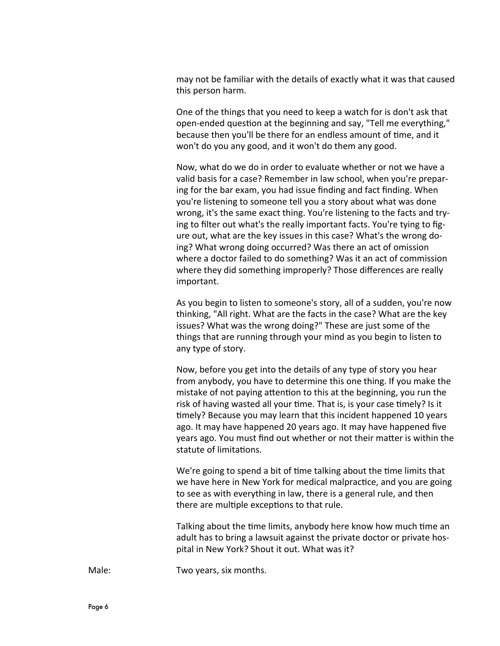may not be familiar with the details of exactly what it was that caused this person harm.

One of the things that you need to keep a watch for is don't ask that open-ended question at the beginning and say, "Tell me everything," because then you'll be there for an endless amount of time, and it won't do you any good, and it won't do them any good.

Now, what do we do in order to evaluate whether or not we have a valid basis for a case? Remember in law school, when you're preparing for the bar exam, you had issue finding and fact finding. When you're listening to someone tell you a story about what was done wrong, it's the same exact thing. You're listening to the facts and trying to filter out what's the really important facts. You're tying to figure out, what are the key issues in this case? What's the wrong doing? What wrong doing occurred? Was there an act of omission where a doctor failed to do something? Was it an act of commission where they did something improperly? Those differences are really important.

As you begin to listen to someone's story, all of a sudden, you're now thinking, "All right. What are the facts in the case? What are the key issues? What was the wrong doing?" These are just some of the things that are running through your mind as you begin to listen to any type of story.

Now, before you get into the details of any type of story you hear from anybody, you have to determine this one thing. If you make the mistake of not paying attention to this at the beginning, you run the risk of having wasted all your time. That is, is your case timely? Is it timely? Because you may learn that this incident happened 10 years ago. It may have happened 20 years ago. It may have happened five years ago. You must find out whether or not their matter is within the statute of limitations.

We're going to spend a bit of time talking about the time limits that we have here in New York for medical malpractice, and you are going to see as with everything in law, there is a general rule, and then there are multiple exceptions to that rule.

Talking about the time limits, anybody here know how much time an adult has to bring a lawsuit against the private doctor or private hospital in New York? Shout it out. What was it?

Male: Two years, six months.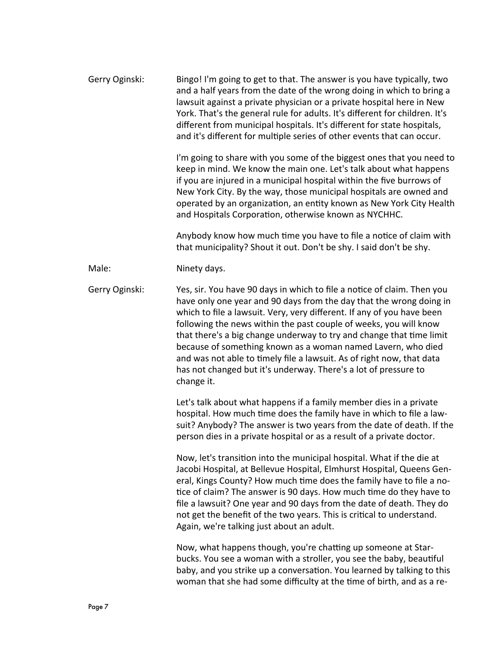| Gerry Oginski: | Bingo! I'm going to get to that. The answer is you have typically, two<br>and a half years from the date of the wrong doing in which to bring a<br>lawsuit against a private physician or a private hospital here in New<br>York. That's the general rule for adults. It's different for children. It's<br>different from municipal hospitals. It's different for state hospitals,<br>and it's different for multiple series of other events that can occur.                                                                                                                                    |
|----------------|-------------------------------------------------------------------------------------------------------------------------------------------------------------------------------------------------------------------------------------------------------------------------------------------------------------------------------------------------------------------------------------------------------------------------------------------------------------------------------------------------------------------------------------------------------------------------------------------------|
|                | I'm going to share with you some of the biggest ones that you need to<br>keep in mind. We know the main one. Let's talk about what happens<br>if you are injured in a municipal hospital within the five burrows of<br>New York City. By the way, those municipal hospitals are owned and<br>operated by an organization, an entity known as New York City Health<br>and Hospitals Corporation, otherwise known as NYCHHC.                                                                                                                                                                      |
|                | Anybody know how much time you have to file a notice of claim with<br>that municipality? Shout it out. Don't be shy. I said don't be shy.                                                                                                                                                                                                                                                                                                                                                                                                                                                       |
| Male:          | Ninety days.                                                                                                                                                                                                                                                                                                                                                                                                                                                                                                                                                                                    |
| Gerry Oginski: | Yes, sir. You have 90 days in which to file a notice of claim. Then you<br>have only one year and 90 days from the day that the wrong doing in<br>which to file a lawsuit. Very, very different. If any of you have been<br>following the news within the past couple of weeks, you will know<br>that there's a big change underway to try and change that time limit<br>because of something known as a woman named Lavern, who died<br>and was not able to timely file a lawsuit. As of right now, that data<br>has not changed but it's underway. There's a lot of pressure to<br>change it. |
|                | Let's talk about what happens if a family member dies in a private<br>hospital. How much time does the family have in which to file a law-<br>suit? Anybody? The answer is two years from the date of death. If the<br>person dies in a private hospital or as a result of a private doctor.                                                                                                                                                                                                                                                                                                    |
|                | Now, let's transition into the municipal hospital. What if the die at<br>Jacobi Hospital, at Bellevue Hospital, Elmhurst Hospital, Queens Gen-<br>eral, Kings County? How much time does the family have to file a no-<br>tice of claim? The answer is 90 days. How much time do they have to<br>file a lawsuit? One year and 90 days from the date of death. They do<br>not get the benefit of the two years. This is critical to understand.<br>Again, we're talking just about an adult.                                                                                                     |
|                | Now, what happens though, you're chatting up someone at Star-<br>bucks. You see a woman with a stroller, you see the baby, beautiful<br>baby, and you strike up a conversation. You learned by talking to this<br>woman that she had some difficulty at the time of birth, and as a re-                                                                                                                                                                                                                                                                                                         |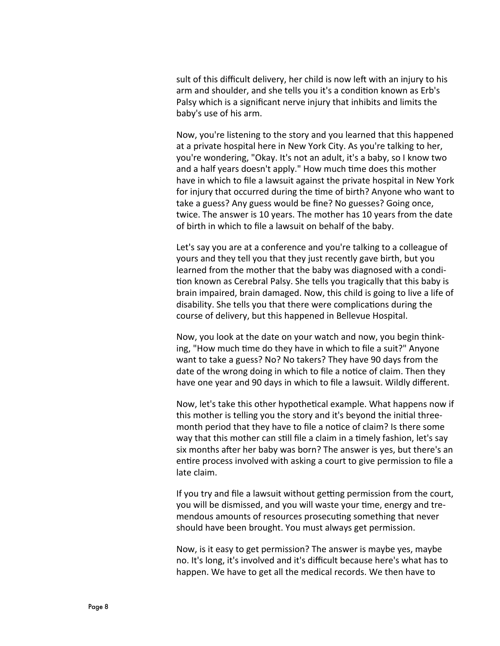sult of this difficult delivery, her child is now left with an injury to his arm and shoulder, and she tells you it's a condition known as Erb's Palsy which is a significant nerve injury that inhibits and limits the baby's use of his arm.

Now, you're listening to the story and you learned that this happened at a private hospital here in New York City. As you're talking to her, you're wondering, "Okay. It's not an adult, it's a baby, so I know two and a half years doesn't apply." How much time does this mother have in which to file a lawsuit against the private hospital in New York for injury that occurred during the time of birth? Anyone who want to take a guess? Any guess would be fine? No guesses? Going once, twice. The answer is 10 years. The mother has 10 years from the date of birth in which to file a lawsuit on behalf of the baby.

Let's say you are at a conference and you're talking to a colleague of yours and they tell you that they just recently gave birth, but you learned from the mother that the baby was diagnosed with a condition known as Cerebral Palsy. She tells you tragically that this baby is brain impaired, brain damaged. Now, this child is going to live a life of disability. She tells you that there were complications during the course of delivery, but this happened in Bellevue Hospital.

Now, you look at the date on your watch and now, you begin thinking, "How much time do they have in which to file a suit?" Anyone want to take a guess? No? No takers? They have 90 days from the date of the wrong doing in which to file a notice of claim. Then they have one year and 90 days in which to file a lawsuit. Wildly different.

Now, let's take this other hypothetical example. What happens now if this mother is telling you the story and it's beyond the initial threemonth period that they have to file a notice of claim? Is there some way that this mother can still file a claim in a timely fashion, let's say six months after her baby was born? The answer is yes, but there's an entire process involved with asking a court to give permission to file a late claim.

If you try and file a lawsuit without getting permission from the court, you will be dismissed, and you will waste your time, energy and tremendous amounts of resources prosecuting something that never should have been brought. You must always get permission.

Now, is it easy to get permission? The answer is maybe yes, maybe no. It's long, it's involved and it's difficult because here's what has to happen. We have to get all the medical records. We then have to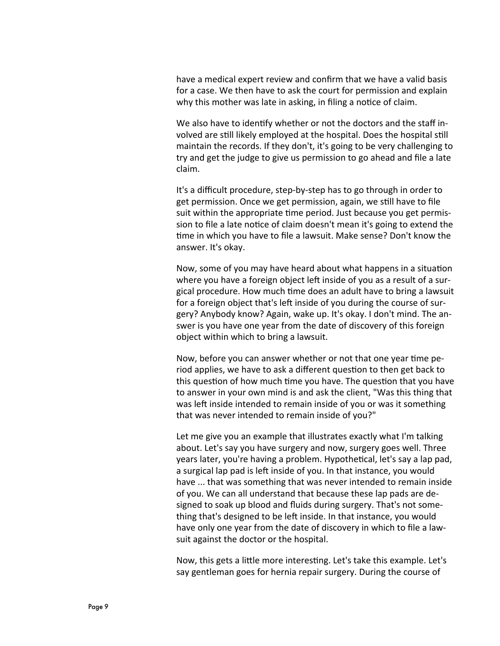have a medical expert review and confirm that we have a valid basis for a case. We then have to ask the court for permission and explain why this mother was late in asking, in filing a notice of claim.

We also have to identify whether or not the doctors and the staff involved are still likely employed at the hospital. Does the hospital still maintain the records. If they don't, it's going to be very challenging to try and get the judge to give us permission to go ahead and file a late claim.

It's a difficult procedure, step-by-step has to go through in order to get permission. Once we get permission, again, we still have to file suit within the appropriate time period. Just because you get permission to file a late notice of claim doesn't mean it's going to extend the time in which you have to file a lawsuit. Make sense? Don't know the answer. It's okay.

Now, some of you may have heard about what happens in a situation where you have a foreign object left inside of you as a result of a surgical procedure. How much time does an adult have to bring a lawsuit for a foreign object that's left inside of you during the course of surgery? Anybody know? Again, wake up. It's okay. I don't mind. The answer is you have one year from the date of discovery of this foreign object within which to bring a lawsuit.

Now, before you can answer whether or not that one year time period applies, we have to ask a different question to then get back to this question of how much time you have. The question that you have to answer in your own mind is and ask the client, "Was this thing that was left inside intended to remain inside of you or was it something that was never intended to remain inside of you?"

Let me give you an example that illustrates exactly what I'm talking about. Let's say you have surgery and now, surgery goes well. Three years later, you're having a problem. Hypothetical, let's say a lap pad, a surgical lap pad is left inside of you. In that instance, you would have ... that was something that was never intended to remain inside of you. We can all understand that because these lap pads are designed to soak up blood and fluids during surgery. That's not something that's designed to be left inside. In that instance, you would have only one year from the date of discovery in which to file a lawsuit against the doctor or the hospital.

Now, this gets a little more interesting. Let's take this example. Let's say gentleman goes for hernia repair surgery. During the course of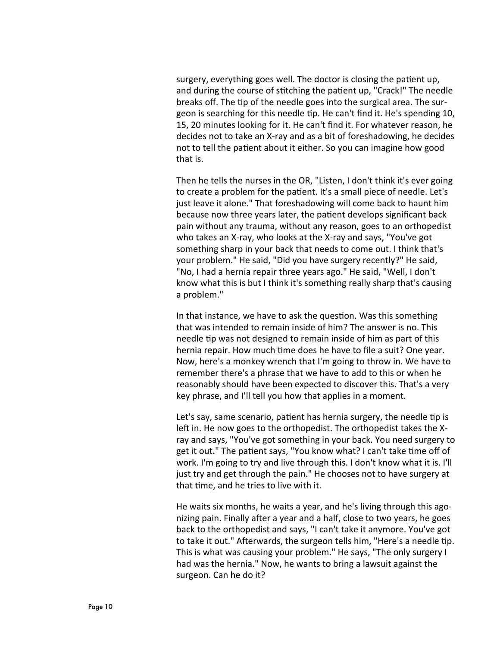surgery, everything goes well. The doctor is closing the patient up, and during the course of stitching the patient up, "Crack!" The needle breaks off. The tip of the needle goes into the surgical area. The surgeon is searching for this needle tip. He can't find it. He's spending 10, 15, 20 minutes looking for it. He can't find it. For whatever reason, he decides not to take an X-ray and as a bit of foreshadowing, he decides not to tell the patient about it either. So you can imagine how good that is.

Then he tells the nurses in the OR, "Listen, I don't think it's ever going to create a problem for the patient. It's a small piece of needle. Let's just leave it alone." That foreshadowing will come back to haunt him because now three years later, the patient develops significant back pain without any trauma, without any reason, goes to an orthopedist who takes an X-ray, who looks at the X-ray and says, "You've got something sharp in your back that needs to come out. I think that's your problem." He said, "Did you have surgery recently?" He said, "No, I had a hernia repair three years ago." He said, "Well, I don't know what this is but I think it's something really sharp that's causing a problem."

In that instance, we have to ask the question. Was this something that was intended to remain inside of him? The answer is no. This needle tip was not designed to remain inside of him as part of this hernia repair. How much time does he have to file a suit? One year. Now, here's a monkey wrench that I'm going to throw in. We have to remember there's a phrase that we have to add to this or when he reasonably should have been expected to discover this. That's a very key phrase, and I'll tell you how that applies in a moment.

Let's say, same scenario, patient has hernia surgery, the needle tip is left in. He now goes to the orthopedist. The orthopedist takes the Xray and says, "You've got something in your back. You need surgery to get it out." The patient says, "You know what? I can't take time off of work. I'm going to try and live through this. I don't know what it is. I'll just try and get through the pain." He chooses not to have surgery at that time, and he tries to live with it.

He waits six months, he waits a year, and he's living through this agonizing pain. Finally after a year and a half, close to two years, he goes back to the orthopedist and says, "I can't take it anymore. You've got to take it out." Afterwards, the surgeon tells him, "Here's a needle tip. This is what was causing your problem." He says, "The only surgery I had was the hernia." Now, he wants to bring a lawsuit against the surgeon. Can he do it?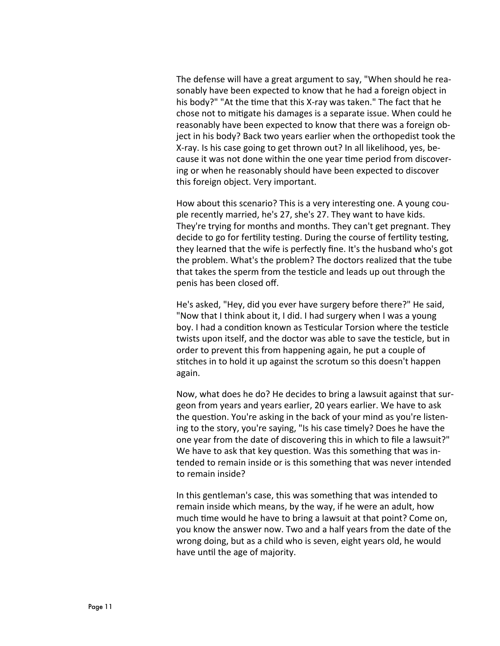The defense will have a great argument to say, "When should he reasonably have been expected to know that he had a foreign object in his body?" "At the time that this X-ray was taken." The fact that he chose not to mitigate his damages is a separate issue. When could he reasonably have been expected to know that there was a foreign object in his body? Back two years earlier when the orthopedist took the X-ray. Is his case going to get thrown out? In all likelihood, yes, because it was not done within the one year time period from discovering or when he reasonably should have been expected to discover this foreign object. Very important.

How about this scenario? This is a very interesting one. A young couple recently married, he's 27, she's 27. They want to have kids. They're trying for months and months. They can't get pregnant. They decide to go for fertility testing. During the course of fertility testing, they learned that the wife is perfectly fine. It's the husband who's got the problem. What's the problem? The doctors realized that the tube that takes the sperm from the testicle and leads up out through the penis has been closed off.

He's asked, "Hey, did you ever have surgery before there?" He said, "Now that I think about it, I did. I had surgery when I was a young boy. I had a condition known as Testicular Torsion where the testicle twists upon itself, and the doctor was able to save the testicle, but in order to prevent this from happening again, he put a couple of stitches in to hold it up against the scrotum so this doesn't happen again.

Now, what does he do? He decides to bring a lawsuit against that surgeon from years and years earlier, 20 years earlier. We have to ask the question. You're asking in the back of your mind as you're listening to the story, you're saying, "Is his case timely? Does he have the one year from the date of discovering this in which to file a lawsuit?" We have to ask that key question. Was this something that was intended to remain inside or is this something that was never intended to remain inside?

In this gentleman's case, this was something that was intended to remain inside which means, by the way, if he were an adult, how much time would he have to bring a lawsuit at that point? Come on, you know the answer now. Two and a half years from the date of the wrong doing, but as a child who is seven, eight years old, he would have until the age of majority.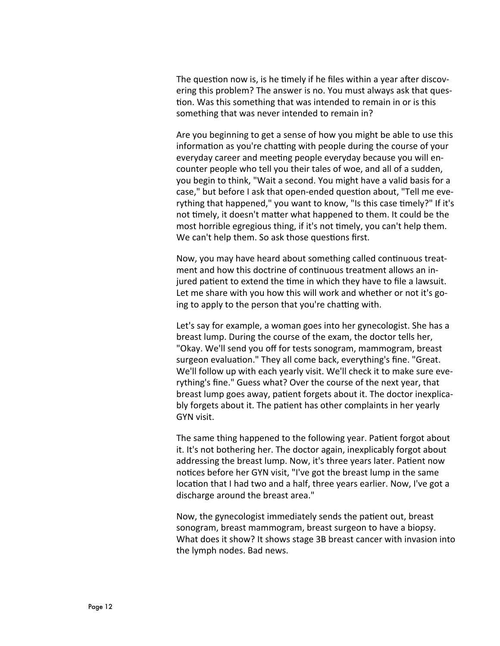The question now is, is he timely if he files within a year after discovering this problem? The answer is no. You must always ask that question. Was this something that was intended to remain in or is this something that was never intended to remain in?

Are you beginning to get a sense of how you might be able to use this information as you're chatting with people during the course of your everyday career and meeting people everyday because you will encounter people who tell you their tales of woe, and all of a sudden, you begin to think, "Wait a second. You might have a valid basis for a case," but before I ask that open-ended question about, "Tell me everything that happened," you want to know, "Is this case timely?" If it's not timely, it doesn't matter what happened to them. It could be the most horrible egregious thing, if it's not timely, you can't help them. We can't help them. So ask those questions first.

Now, you may have heard about something called continuous treatment and how this doctrine of continuous treatment allows an injured patient to extend the time in which they have to file a lawsuit. Let me share with you how this will work and whether or not it's going to apply to the person that you're chatting with.

Let's say for example, a woman goes into her gynecologist. She has a breast lump. During the course of the exam, the doctor tells her, "Okay. We'll send you off for tests sonogram, mammogram, breast surgeon evaluation." They all come back, everything's fine. "Great. We'll follow up with each yearly visit. We'll check it to make sure everything's fine." Guess what? Over the course of the next year, that breast lump goes away, patient forgets about it. The doctor inexplicably forgets about it. The patient has other complaints in her yearly GYN visit.

The same thing happened to the following year. Patient forgot about it. It's not bothering her. The doctor again, inexplicably forgot about addressing the breast lump. Now, it's three years later. Patient now notices before her GYN visit, "I've got the breast lump in the same location that I had two and a half, three years earlier. Now, I've got a discharge around the breast area."

Now, the gynecologist immediately sends the patient out, breast sonogram, breast mammogram, breast surgeon to have a biopsy. What does it show? It shows stage 3B breast cancer with invasion into the lymph nodes. Bad news.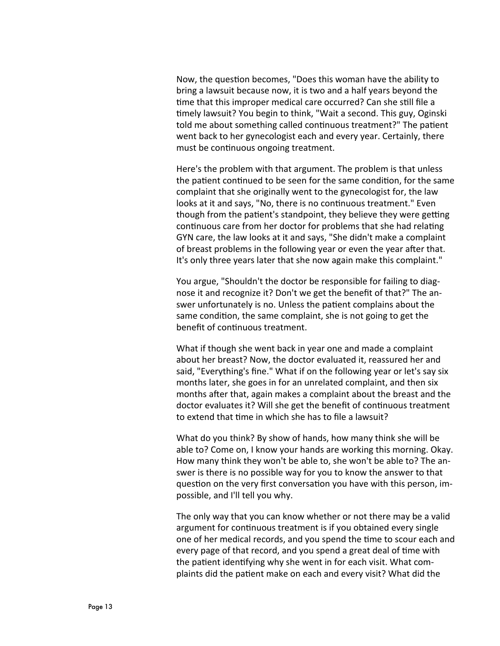Now, the question becomes, "Does this woman have the ability to bring a lawsuit because now, it is two and a half years beyond the time that this improper medical care occurred? Can she still file a timely lawsuit? You begin to think, "Wait a second. This guy, Oginski told me about something called continuous treatment?" The patient went back to her gynecologist each and every year. Certainly, there must be continuous ongoing treatment.

Here's the problem with that argument. The problem is that unless the patient continued to be seen for the same condition, for the same complaint that she originally went to the gynecologist for, the law looks at it and says, "No, there is no continuous treatment." Even though from the patient's standpoint, they believe they were getting continuous care from her doctor for problems that she had relating GYN care, the law looks at it and says, "She didn't make a complaint of breast problems in the following year or even the year after that. It's only three years later that she now again make this complaint."

You argue, "Shouldn't the doctor be responsible for failing to diagnose it and recognize it? Don't we get the benefit of that?" The answer unfortunately is no. Unless the patient complains about the same condition, the same complaint, she is not going to get the benefit of continuous treatment.

What if though she went back in year one and made a complaint about her breast? Now, the doctor evaluated it, reassured her and said, "Everything's fine." What if on the following year or let's say six months later, she goes in for an unrelated complaint, and then six months after that, again makes a complaint about the breast and the doctor evaluates it? Will she get the benefit of continuous treatment to extend that time in which she has to file a lawsuit?

What do you think? By show of hands, how many think she will be able to? Come on, I know your hands are working this morning. Okay. How many think they won't be able to, she won't be able to? The answer is there is no possible way for you to know the answer to that question on the very first conversation you have with this person, impossible, and I'll tell you why.

The only way that you can know whether or not there may be a valid argument for continuous treatment is if you obtained every single one of her medical records, and you spend the time to scour each and every page of that record, and you spend a great deal of time with the patient identifying why she went in for each visit. What complaints did the patient make on each and every visit? What did the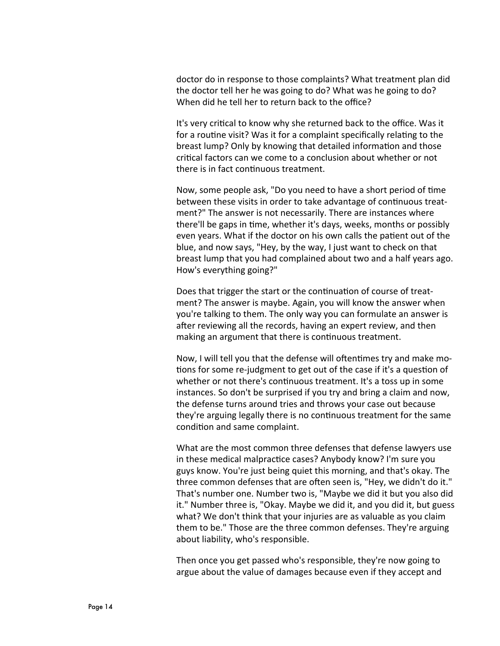doctor do in response to those complaints? What treatment plan did the doctor tell her he was going to do? What was he going to do? When did he tell her to return back to the office?

It's very critical to know why she returned back to the office. Was it for a routine visit? Was it for a complaint specifically relating to the breast lump? Only by knowing that detailed information and those critical factors can we come to a conclusion about whether or not there is in fact continuous treatment.

Now, some people ask, "Do you need to have a short period of time between these visits in order to take advantage of continuous treatment?" The answer is not necessarily. There are instances where there'll be gaps in time, whether it's days, weeks, months or possibly even years. What if the doctor on his own calls the patient out of the blue, and now says, "Hey, by the way, I just want to check on that breast lump that you had complained about two and a half years ago. How's everything going?"

Does that trigger the start or the continuation of course of treatment? The answer is maybe. Again, you will know the answer when you're talking to them. The only way you can formulate an answer is after reviewing all the records, having an expert review, and then making an argument that there is continuous treatment.

Now, I will tell you that the defense will oftentimes try and make motions for some re-judgment to get out of the case if it's a question of whether or not there's continuous treatment. It's a toss up in some instances. So don't be surprised if you try and bring a claim and now, the defense turns around tries and throws your case out because they're arguing legally there is no continuous treatment for the same condition and same complaint.

What are the most common three defenses that defense lawyers use in these medical malpractice cases? Anybody know? I'm sure you guys know. You're just being quiet this morning, and that's okay. The three common defenses that are often seen is, "Hey, we didn't do it." That's number one. Number two is, "Maybe we did it but you also did it." Number three is, "Okay. Maybe we did it, and you did it, but guess what? We don't think that your injuries are as valuable as you claim them to be." Those are the three common defenses. They're arguing about liability, who's responsible.

Then once you get passed who's responsible, they're now going to argue about the value of damages because even if they accept and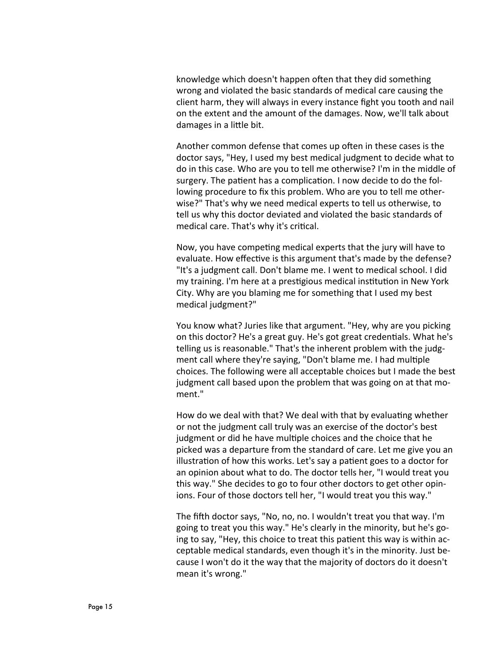knowledge which doesn't happen often that they did something wrong and violated the basic standards of medical care causing the client harm, they will always in every instance fight you tooth and nail on the extent and the amount of the damages. Now, we'll talk about damages in a little bit.

Another common defense that comes up often in these cases is the doctor says, "Hey, I used my best medical judgment to decide what to do in this case. Who are you to tell me otherwise? I'm in the middle of surgery. The patient has a complication. I now decide to do the following procedure to fix this problem. Who are you to tell me otherwise?" That's why we need medical experts to tell us otherwise, to tell us why this doctor deviated and violated the basic standards of medical care. That's why it's critical.

Now, you have competing medical experts that the jury will have to evaluate. How effective is this argument that's made by the defense? "It's a judgment call. Don't blame me. I went to medical school. I did my training. I'm here at a prestigious medical institution in New York City. Why are you blaming me for something that I used my best medical judgment?"

You know what? Juries like that argument. "Hey, why are you picking on this doctor? He's a great guy. He's got great credentials. What he's telling us is reasonable." That's the inherent problem with the judgment call where they're saying, "Don't blame me. I had multiple choices. The following were all acceptable choices but I made the best judgment call based upon the problem that was going on at that moment."

How do we deal with that? We deal with that by evaluating whether or not the judgment call truly was an exercise of the doctor's best judgment or did he have multiple choices and the choice that he picked was a departure from the standard of care. Let me give you an illustration of how this works. Let's say a patient goes to a doctor for an opinion about what to do. The doctor tells her, "I would treat you this way." She decides to go to four other doctors to get other opinions. Four of those doctors tell her, "I would treat you this way."

The fifth doctor says, "No, no, no. I wouldn't treat you that way. I'm going to treat you this way." He's clearly in the minority, but he's going to say, "Hey, this choice to treat this patient this way is within acceptable medical standards, even though it's in the minority. Just because I won't do it the way that the majority of doctors do it doesn't mean it's wrong."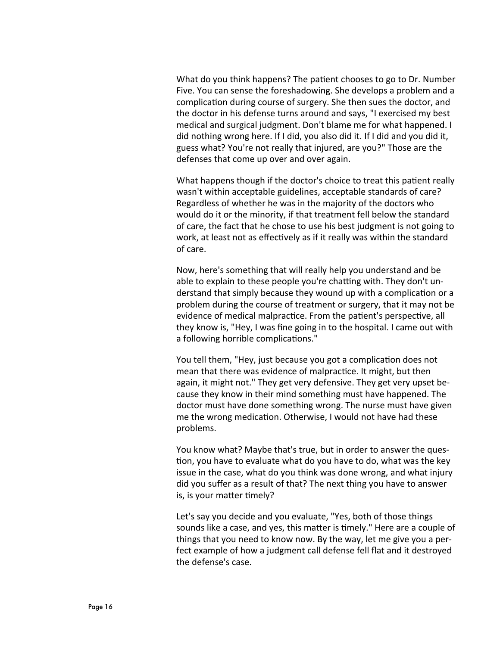What do you think happens? The patient chooses to go to Dr. Number Five. You can sense the foreshadowing. She develops a problem and a complication during course of surgery. She then sues the doctor, and the doctor in his defense turns around and says, "I exercised my best medical and surgical judgment. Don't blame me for what happened. I did nothing wrong here. If I did, you also did it. If I did and you did it, guess what? You're not really that injured, are you?" Those are the defenses that come up over and over again.

What happens though if the doctor's choice to treat this patient really wasn't within acceptable guidelines, acceptable standards of care? Regardless of whether he was in the majority of the doctors who would do it or the minority, if that treatment fell below the standard of care, the fact that he chose to use his best judgment is not going to work, at least not as effectively as if it really was within the standard of care.

Now, here's something that will really help you understand and be able to explain to these people you're chatting with. They don't understand that simply because they wound up with a complication or a problem during the course of treatment or surgery, that it may not be evidence of medical malpractice. From the patient's perspective, all they know is, "Hey, I was fine going in to the hospital. I came out with a following horrible complications."

You tell them, "Hey, just because you got a complication does not mean that there was evidence of malpractice. It might, but then again, it might not." They get very defensive. They get very upset because they know in their mind something must have happened. The doctor must have done something wrong. The nurse must have given me the wrong medication. Otherwise, I would not have had these problems.

You know what? Maybe that's true, but in order to answer the question, you have to evaluate what do you have to do, what was the key issue in the case, what do you think was done wrong, and what injury did you suffer as a result of that? The next thing you have to answer is, is your matter timely?

Let's say you decide and you evaluate, "Yes, both of those things sounds like a case, and yes, this matter is timely." Here are a couple of things that you need to know now. By the way, let me give you a perfect example of how a judgment call defense fell flat and it destroyed the defense's case.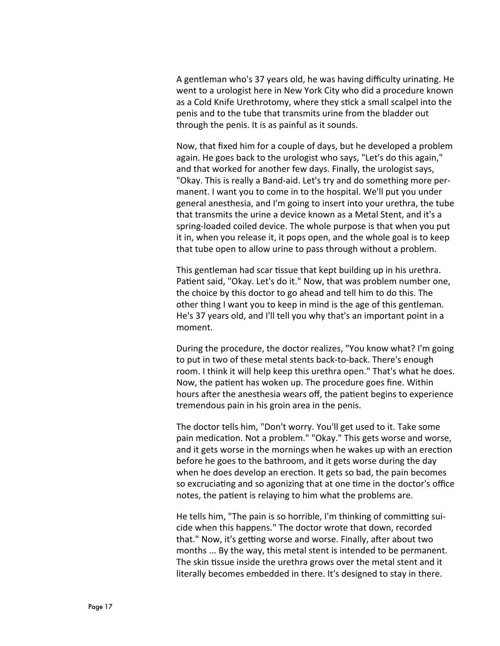A gentleman who's 37 years old, he was having difficulty urinating. He went to a urologist here in New York City who did a procedure known as a Cold Knife Urethrotomy, where they stick a small scalpel into the penis and to the tube that transmits urine from the bladder out through the penis. It is as painful as it sounds.

Now, that fixed him for a couple of days, but he developed a problem again. He goes back to the urologist who says, "Let's do this again," and that worked for another few days. Finally, the urologist says, "Okay. This is really a Band-aid. Let's try and do something more permanent. I want you to come in to the hospital. We'll put you under general anesthesia, and I'm going to insert into your urethra, the tube that transmits the urine a device known as a Metal Stent, and it's a spring-loaded coiled device. The whole purpose is that when you put it in, when you release it, it pops open, and the whole goal is to keep that tube open to allow urine to pass through without a problem.

This gentleman had scar tissue that kept building up in his urethra. Patient said, "Okay. Let's do it." Now, that was problem number one, the choice by this doctor to go ahead and tell him to do this. The other thing I want you to keep in mind is the age of this gentleman. He's 37 years old, and I'll tell you why that's an important point in a moment.

During the procedure, the doctor realizes, "You know what? I'm going to put in two of these metal stents back-to-back. There's enough room. I think it will help keep this urethra open." That's what he does. Now, the patient has woken up. The procedure goes fine. Within hours after the anesthesia wears off, the patient begins to experience tremendous pain in his groin area in the penis.

The doctor tells him, "Don't worry. You'll get used to it. Take some pain medication. Not a problem." "Okay." This gets worse and worse, and it gets worse in the mornings when he wakes up with an erection before he goes to the bathroom, and it gets worse during the day when he does develop an erection. It gets so bad, the pain becomes so excruciating and so agonizing that at one time in the doctor's office notes, the patient is relaying to him what the problems are.

He tells him, "The pain is so horrible, I'm thinking of committing suicide when this happens." The doctor wrote that down, recorded that." Now, it's getting worse and worse. Finally, after about two months ... By the way, this metal stent is intended to be permanent. The skin tissue inside the urethra grows over the metal stent and it literally becomes embedded in there. It's designed to stay in there.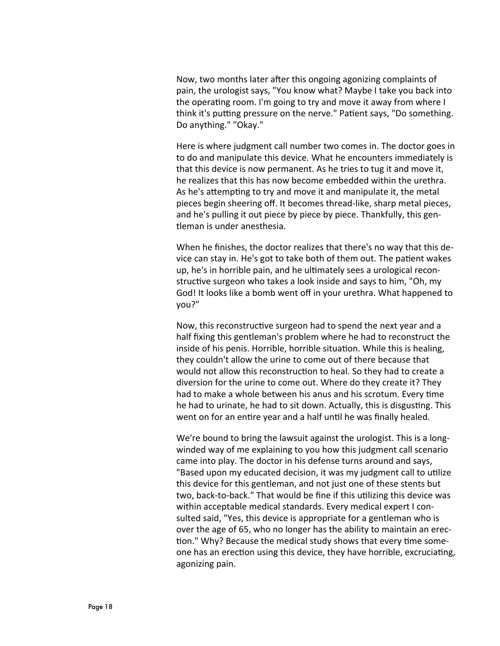Now, two months later after this ongoing agonizing complaints of pain, the urologist says, "You know what? Maybe I take you back into the operating room. I'm going to try and move it away from where I think it's putting pressure on the nerve." Patient says, "Do something. Do anything." "Okay."

Here is where judgment call number two comes in. The doctor goes in to do and manipulate this device. What he encounters immediately is that this device is now permanent. As he tries to tug it and move it, he realizes that this has now become embedded within the urethra. As he's attempting to try and move it and manipulate it, the metal pieces begin sheering off. It becomes thread-like, sharp metal pieces, and he's pulling it out piece by piece by piece. Thankfully, this gentleman is under anesthesia.

When he finishes, the doctor realizes that there's no way that this device can stay in. He's got to take both of them out. The patient wakes up, he's in horrible pain, and he ultimately sees a urological reconstructive surgeon who takes a look inside and says to him, "Oh, my God! It looks like a bomb went off in your urethra. What happened to you?"

Now, this reconstructive surgeon had to spend the next year and a half fixing this gentleman's problem where he had to reconstruct the inside of his penis. Horrible, horrible situation. While this is healing, they couldn't allow the urine to come out of there because that would not allow this reconstruction to heal. So they had to create a diversion for the urine to come out. Where do they create it? They had to make a whole between his anus and his scrotum. Every time he had to urinate, he had to sit down. Actually, this is disgusting. This went on for an entire year and a half until he was finally healed.

We're bound to bring the lawsuit against the urologist. This is a longwinded way of me explaining to you how this judgment call scenario came into play. The doctor in his defense turns around and says, "Based upon my educated decision, it was my judgment call to utilize this device for this gentleman, and not just one of these stents but two, back-to-back." That would be fine if this utilizing this device was within acceptable medical standards. Every medical expert I consulted said, "Yes, this device is appropriate for a gentleman who is over the age of 65, who no longer has the ability to maintain an erection." Why? Because the medical study shows that every time someone has an erection using this device, they have horrible, excruciating, agonizing pain.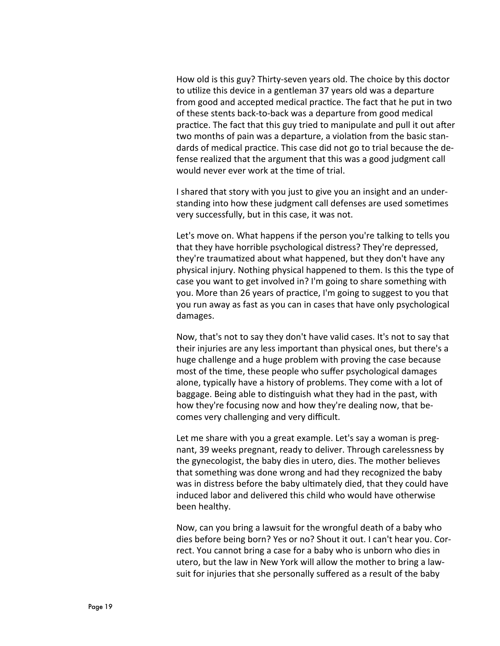How old is this guy? Thirty-seven years old. The choice by this doctor to utilize this device in a gentleman 37 years old was a departure from good and accepted medical practice. The fact that he put in two of these stents back-to-back was a departure from good medical practice. The fact that this guy tried to manipulate and pull it out after two months of pain was a departure, a violation from the basic standards of medical practice. This case did not go to trial because the defense realized that the argument that this was a good judgment call would never ever work at the time of trial.

I shared that story with you just to give you an insight and an understanding into how these judgment call defenses are used sometimes very successfully, but in this case, it was not.

Let's move on. What happens if the person you're talking to tells you that they have horrible psychological distress? They're depressed, they're traumatized about what happened, but they don't have any physical injury. Nothing physical happened to them. Is this the type of case you want to get involved in? I'm going to share something with you. More than 26 years of practice, I'm going to suggest to you that you run away as fast as you can in cases that have only psychological damages.

Now, that's not to say they don't have valid cases. It's not to say that their injuries are any less important than physical ones, but there's a huge challenge and a huge problem with proving the case because most of the time, these people who suffer psychological damages alone, typically have a history of problems. They come with a lot of baggage. Being able to distinguish what they had in the past, with how they're focusing now and how they're dealing now, that becomes very challenging and very difficult.

Let me share with you a great example. Let's say a woman is pregnant, 39 weeks pregnant, ready to deliver. Through carelessness by the gynecologist, the baby dies in utero, dies. The mother believes that something was done wrong and had they recognized the baby was in distress before the baby ultimately died, that they could have induced labor and delivered this child who would have otherwise been healthy.

Now, can you bring a lawsuit for the wrongful death of a baby who dies before being born? Yes or no? Shout it out. I can't hear you. Correct. You cannot bring a case for a baby who is unborn who dies in utero, but the law in New York will allow the mother to bring a lawsuit for injuries that she personally suffered as a result of the baby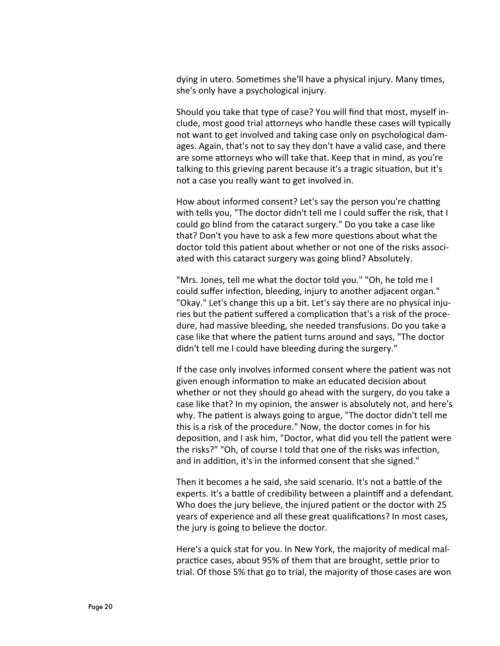dying in utero. Sometimes she'll have a physical injury. Many times, she's only have a psychological injury.

Should you take that type of case? You will find that most, myself include, most good trial attorneys who handle these cases will typically not want to get involved and taking case only on psychological damages. Again, that's not to say they don't have a valid case, and there are some attorneys who will take that. Keep that in mind, as you're talking to this grieving parent because it's a tragic situation, but it's not a case you really want to get involved in.

How about informed consent? Let's say the person you're chatting with tells you, "The doctor didn't tell me I could suffer the risk, that I could go blind from the cataract surgery." Do you take a case like that? Don't you have to ask a few more questions about what the doctor told this patient about whether or not one of the risks associated with this cataract surgery was going blind? Absolutely.

"Mrs. Jones, tell me what the doctor told you." "Oh, he told me I could suffer infection, bleeding, injury to another adjacent organ." "Okay." Let's change this up a bit. Let's say there are no physical injuries but the patient suffered a complication that's a risk of the procedure, had massive bleeding, she needed transfusions. Do you take a case like that where the patient turns around and says, "The doctor didn't tell me I could have bleeding during the surgery."

If the case only involves informed consent where the patient was not given enough information to make an educated decision about whether or not they should go ahead with the surgery, do you take a case like that? In my opinion, the answer is absolutely not, and here's why. The patient is always going to argue, "The doctor didn't tell me this is a risk of the procedure." Now, the doctor comes in for his deposition, and I ask him, "Doctor, what did you tell the patient were the risks?" "Oh, of course I told that one of the risks was infection, and in addition, it's in the informed consent that she signed."

Then it becomes a he said, she said scenario. It's not a battle of the experts. It's a battle of credibility between a plaintiff and a defendant. Who does the jury believe, the injured patient or the doctor with 25 years of experience and all these great qualifications? In most cases, the jury is going to believe the doctor.

Here's a quick stat for you. In New York, the majority of medical malpractice cases, about 95% of them that are brought, settle prior to trial. Of those 5% that go to trial, the majority of those cases are won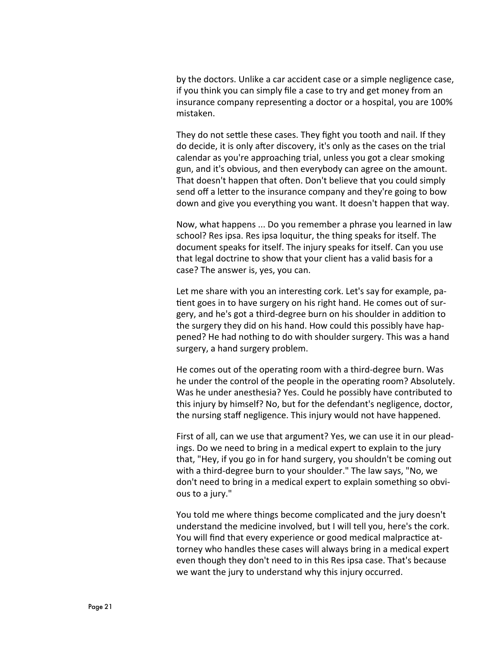by the doctors. Unlike a car accident case or a simple negligence case, if you think you can simply file a case to try and get money from an insurance company representing a doctor or a hospital, you are 100% mistaken.

They do not settle these cases. They fight you tooth and nail. If they do decide, it is only after discovery, it's only as the cases on the trial calendar as you're approaching trial, unless you got a clear smoking gun, and it's obvious, and then everybody can agree on the amount. That doesn't happen that often. Don't believe that you could simply send off a letter to the insurance company and they're going to bow down and give you everything you want. It doesn't happen that way.

Now, what happens ... Do you remember a phrase you learned in law school? Res ipsa. Res ipsa loquitur, the thing speaks for itself. The document speaks for itself. The injury speaks for itself. Can you use that legal doctrine to show that your client has a valid basis for a case? The answer is, yes, you can.

Let me share with you an interesting cork. Let's say for example, patient goes in to have surgery on his right hand. He comes out of surgery, and he's got a third-degree burn on his shoulder in addition to the surgery they did on his hand. How could this possibly have happened? He had nothing to do with shoulder surgery. This was a hand surgery, a hand surgery problem.

He comes out of the operating room with a third-degree burn. Was he under the control of the people in the operating room? Absolutely. Was he under anesthesia? Yes. Could he possibly have contributed to this injury by himself? No, but for the defendant's negligence, doctor, the nursing staff negligence. This injury would not have happened.

First of all, can we use that argument? Yes, we can use it in our pleadings. Do we need to bring in a medical expert to explain to the jury that, "Hey, if you go in for hand surgery, you shouldn't be coming out with a third-degree burn to your shoulder." The law says, "No, we don't need to bring in a medical expert to explain something so obvious to a jury."

You told me where things become complicated and the jury doesn't understand the medicine involved, but I will tell you, here's the cork. You will find that every experience or good medical malpractice attorney who handles these cases will always bring in a medical expert even though they don't need to in this Res ipsa case. That's because we want the jury to understand why this injury occurred.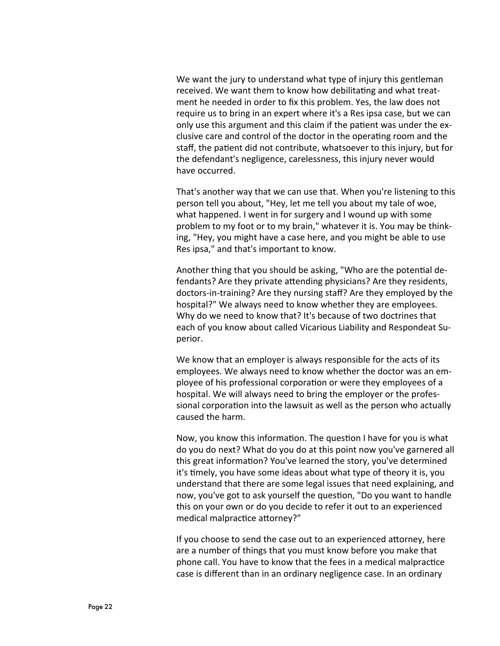We want the jury to understand what type of injury this gentleman received. We want them to know how debilitating and what treatment he needed in order to fix this problem. Yes, the law does not require us to bring in an expert where it's a Res ipsa case, but we can only use this argument and this claim if the patient was under the exclusive care and control of the doctor in the operating room and the staff, the patient did not contribute, whatsoever to this injury, but for the defendant's negligence, carelessness, this injury never would have occurred.

That's another way that we can use that. When you're listening to this person tell you about, "Hey, let me tell you about my tale of woe, what happened. I went in for surgery and I wound up with some problem to my foot or to my brain," whatever it is. You may be thinking, "Hey, you might have a case here, and you might be able to use Res ipsa," and that's important to know.

Another thing that you should be asking, "Who are the potential defendants? Are they private attending physicians? Are they residents, doctors-in-training? Are they nursing staff? Are they employed by the hospital?" We always need to know whether they are employees. Why do we need to know that? It's because of two doctrines that each of you know about called Vicarious Liability and Respondeat Superior.

We know that an employer is always responsible for the acts of its employees. We always need to know whether the doctor was an employee of his professional corporation or were they employees of a hospital. We will always need to bring the employer or the professional corporation into the lawsuit as well as the person who actually caused the harm.

Now, you know this information. The question I have for you is what do you do next? What do you do at this point now you've garnered all this great information? You've learned the story, you've determined it's timely, you have some ideas about what type of theory it is, you understand that there are some legal issues that need explaining, and now, you've got to ask yourself the question, "Do you want to handle this on your own or do you decide to refer it out to an experienced medical malpractice attorney?"

If you choose to send the case out to an experienced attorney, here are a number of things that you must know before you make that phone call. You have to know that the fees in a medical malpractice case is different than in an ordinary negligence case. In an ordinary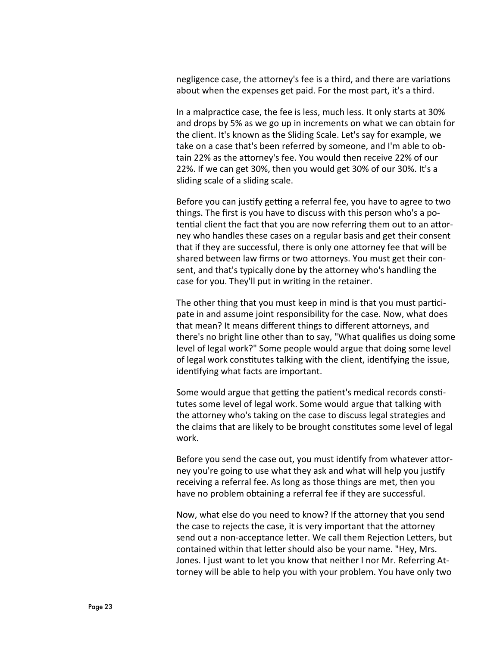negligence case, the attorney's fee is a third, and there are variations about when the expenses get paid. For the most part, it's a third.

In a malpractice case, the fee is less, much less. It only starts at 30% and drops by 5% as we go up in increments on what we can obtain for the client. It's known as the Sliding Scale. Let's say for example, we take on a case that's been referred by someone, and I'm able to obtain 22% as the attorney's fee. You would then receive 22% of our 22%. If we can get 30%, then you would get 30% of our 30%. It's a sliding scale of a sliding scale.

Before you can justify getting a referral fee, you have to agree to two things. The first is you have to discuss with this person who's a potential client the fact that you are now referring them out to an attorney who handles these cases on a regular basis and get their consent that if they are successful, there is only one attorney fee that will be shared between law firms or two attorneys. You must get their consent, and that's typically done by the attorney who's handling the case for you. They'll put in writing in the retainer.

The other thing that you must keep in mind is that you must participate in and assume joint responsibility for the case. Now, what does that mean? It means different things to different attorneys, and there's no bright line other than to say, "What qualifies us doing some level of legal work?" Some people would argue that doing some level of legal work constitutes talking with the client, identifying the issue, identifying what facts are important.

Some would argue that getting the patient's medical records constitutes some level of legal work. Some would argue that talking with the attorney who's taking on the case to discuss legal strategies and the claims that are likely to be brought constitutes some level of legal work.

Before you send the case out, you must identify from whatever attorney you're going to use what they ask and what will help you justify receiving a referral fee. As long as those things are met, then you have no problem obtaining a referral fee if they are successful.

Now, what else do you need to know? If the attorney that you send the case to rejects the case, it is very important that the attorney send out a non-acceptance letter. We call them Rejection Letters, but contained within that letter should also be your name. "Hey, Mrs. Jones. I just want to let you know that neither I nor Mr. Referring Attorney will be able to help you with your problem. You have only two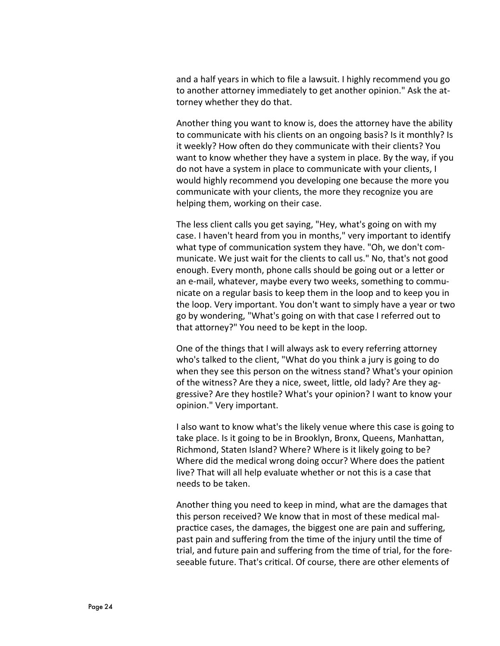and a half years in which to file a lawsuit. I highly recommend you go to another attorney immediately to get another opinion." Ask the attorney whether they do that.

Another thing you want to know is, does the attorney have the ability to communicate with his clients on an ongoing basis? Is it monthly? Is it weekly? How often do they communicate with their clients? You want to know whether they have a system in place. By the way, if you do not have a system in place to communicate with your clients, I would highly recommend you developing one because the more you communicate with your clients, the more they recognize you are helping them, working on their case.

The less client calls you get saying, "Hey, what's going on with my case. I haven't heard from you in months," very important to identify what type of communication system they have. "Oh, we don't communicate. We just wait for the clients to call us." No, that's not good enough. Every month, phone calls should be going out or a letter or an e-mail, whatever, maybe every two weeks, something to communicate on a regular basis to keep them in the loop and to keep you in the loop. Very important. You don't want to simply have a year or two go by wondering, "What's going on with that case I referred out to that attorney?" You need to be kept in the loop.

One of the things that I will always ask to every referring attorney who's talked to the client, "What do you think a jury is going to do when they see this person on the witness stand? What's your opinion of the witness? Are they a nice, sweet, little, old lady? Are they aggressive? Are they hostile? What's your opinion? I want to know your opinion." Very important.

I also want to know what's the likely venue where this case is going to take place. Is it going to be in Brooklyn, Bronx, Queens, Manhattan, Richmond, Staten Island? Where? Where is it likely going to be? Where did the medical wrong doing occur? Where does the patient live? That will all help evaluate whether or not this is a case that needs to be taken.

Another thing you need to keep in mind, what are the damages that this person received? We know that in most of these medical malpractice cases, the damages, the biggest one are pain and suffering, past pain and suffering from the time of the injury until the time of trial, and future pain and suffering from the time of trial, for the foreseeable future. That's critical. Of course, there are other elements of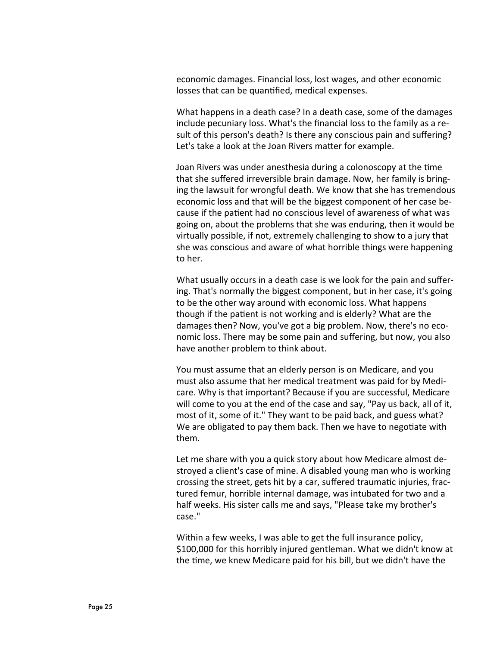economic damages. Financial loss, lost wages, and other economic losses that can be quantified, medical expenses.

What happens in a death case? In a death case, some of the damages include pecuniary loss. What's the financial loss to the family as a result of this person's death? Is there any conscious pain and suffering? Let's take a look at the Joan Rivers matter for example.

Joan Rivers was under anesthesia during a colonoscopy at the time that she suffered irreversible brain damage. Now, her family is bringing the lawsuit for wrongful death. We know that she has tremendous economic loss and that will be the biggest component of her case because if the patient had no conscious level of awareness of what was going on, about the problems that she was enduring, then it would be virtually possible, if not, extremely challenging to show to a jury that she was conscious and aware of what horrible things were happening to her.

What usually occurs in a death case is we look for the pain and suffering. That's normally the biggest component, but in her case, it's going to be the other way around with economic loss. What happens though if the patient is not working and is elderly? What are the damages then? Now, you've got a big problem. Now, there's no economic loss. There may be some pain and suffering, but now, you also have another problem to think about.

You must assume that an elderly person is on Medicare, and you must also assume that her medical treatment was paid for by Medicare. Why is that important? Because if you are successful, Medicare will come to you at the end of the case and say, "Pay us back, all of it, most of it, some of it." They want to be paid back, and guess what? We are obligated to pay them back. Then we have to negotiate with them.

Let me share with you a quick story about how Medicare almost destroyed a client's case of mine. A disabled young man who is working crossing the street, gets hit by a car, suffered traumatic injuries, fractured femur, horrible internal damage, was intubated for two and a half weeks. His sister calls me and says, "Please take my brother's case."

Within a few weeks, I was able to get the full insurance policy, \$100,000 for this horribly injured gentleman. What we didn't know at the time, we knew Medicare paid for his bill, but we didn't have the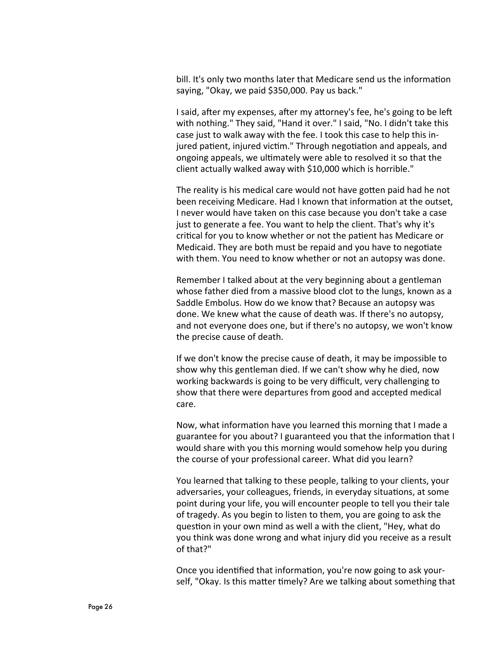bill. It's only two months later that Medicare send us the information saying, "Okay, we paid \$350,000. Pay us back."

I said, after my expenses, after my attorney's fee, he's going to be left with nothing." They said, "Hand it over." I said, "No. I didn't take this case just to walk away with the fee. I took this case to help this injured patient, injured victim." Through negotiation and appeals, and ongoing appeals, we ultimately were able to resolved it so that the client actually walked away with \$10,000 which is horrible."

The reality is his medical care would not have gotten paid had he not been receiving Medicare. Had I known that information at the outset, I never would have taken on this case because you don't take a case just to generate a fee. You want to help the client. That's why it's critical for you to know whether or not the patient has Medicare or Medicaid. They are both must be repaid and you have to negotiate with them. You need to know whether or not an autopsy was done.

Remember I talked about at the very beginning about a gentleman whose father died from a massive blood clot to the lungs, known as a Saddle Embolus. How do we know that? Because an autopsy was done. We knew what the cause of death was. If there's no autopsy, and not everyone does one, but if there's no autopsy, we won't know the precise cause of death.

If we don't know the precise cause of death, it may be impossible to show why this gentleman died. If we can't show why he died, now working backwards is going to be very difficult, very challenging to show that there were departures from good and accepted medical care.

Now, what information have you learned this morning that I made a guarantee for you about? I guaranteed you that the information that I would share with you this morning would somehow help you during the course of your professional career. What did you learn?

You learned that talking to these people, talking to your clients, your adversaries, your colleagues, friends, in everyday situations, at some point during your life, you will encounter people to tell you their tale of tragedy. As you begin to listen to them, you are going to ask the question in your own mind as well a with the client, "Hey, what do you think was done wrong and what injury did you receive as a result of that?"

Once you identified that information, you're now going to ask yourself, "Okay. Is this matter timely? Are we talking about something that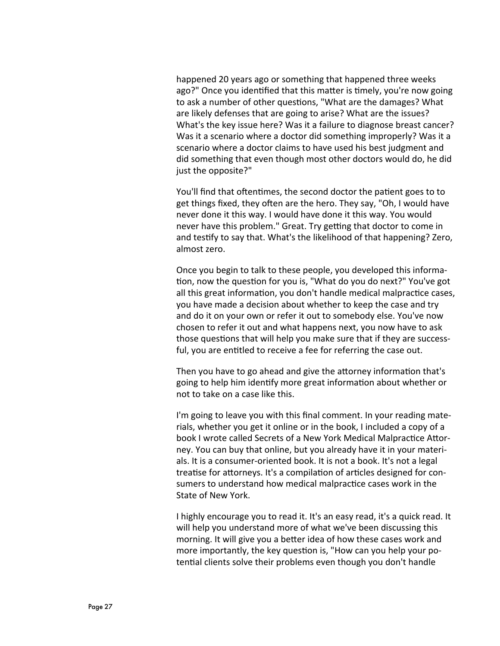happened 20 years ago or something that happened three weeks ago?" Once you identified that this matter is timely, you're now going to ask a number of other questions, "What are the damages? What are likely defenses that are going to arise? What are the issues? What's the key issue here? Was it a failure to diagnose breast cancer? Was it a scenario where a doctor did something improperly? Was it a scenario where a doctor claims to have used his best judgment and did something that even though most other doctors would do, he did just the opposite?"

You'll find that oftentimes, the second doctor the patient goes to to get things fixed, they often are the hero. They say, "Oh, I would have never done it this way. I would have done it this way. You would never have this problem." Great. Try getting that doctor to come in and testify to say that. What's the likelihood of that happening? Zero, almost zero.

Once you begin to talk to these people, you developed this information, now the question for you is, "What do you do next?" You've got all this great information, you don't handle medical malpractice cases, you have made a decision about whether to keep the case and try and do it on your own or refer it out to somebody else. You've now chosen to refer it out and what happens next, you now have to ask those questions that will help you make sure that if they are successful, you are entitled to receive a fee for referring the case out.

Then you have to go ahead and give the attorney information that's going to help him identify more great information about whether or not to take on a case like this.

I'm going to leave you with this final comment. In your reading materials, whether you get it online or in the book, I included a copy of a book I wrote called Secrets of a New York Medical Malpractice Attorney. You can buy that online, but you already have it in your materials. It is a consumer-oriented book. It is not a book. It's not a legal treatise for attorneys. It's a compilation of articles designed for consumers to understand how medical malpractice cases work in the State of New York.

I highly encourage you to read it. It's an easy read, it's a quick read. It will help you understand more of what we've been discussing this morning. It will give you a better idea of how these cases work and more importantly, the key question is, "How can you help your potential clients solve their problems even though you don't handle